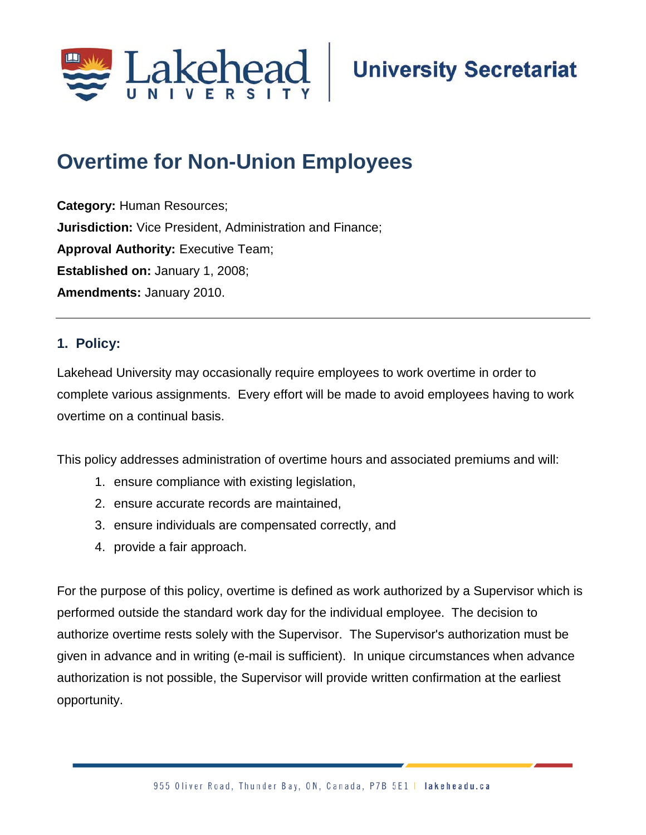

# **Overtime for Non-Union Employees**

**Category:** Human Resources; **Jurisdiction:** Vice President, Administration and Finance; **Approval Authority: Executive Team; Established on:** January 1, 2008; **Amendments:** January 2010.

# **1. Policy:**

Lakehead University may occasionally require employees to work overtime in order to complete various assignments. Every effort will be made to avoid employees having to work overtime on a continual basis.

This policy addresses administration of overtime hours and associated premiums and will:

- 1. ensure compliance with existing legislation,
- 2. ensure accurate records are maintained,
- 3. ensure individuals are compensated correctly, and
- 4. provide a fair approach.

For the purpose of this policy, overtime is defined as work authorized by a Supervisor which is performed outside the standard work day for the individual employee. The decision to authorize overtime rests solely with the Supervisor. The Supervisor's authorization must be given in advance and in writing (e-mail is sufficient). In unique circumstances when advance authorization is not possible, the Supervisor will provide written confirmation at the earliest opportunity.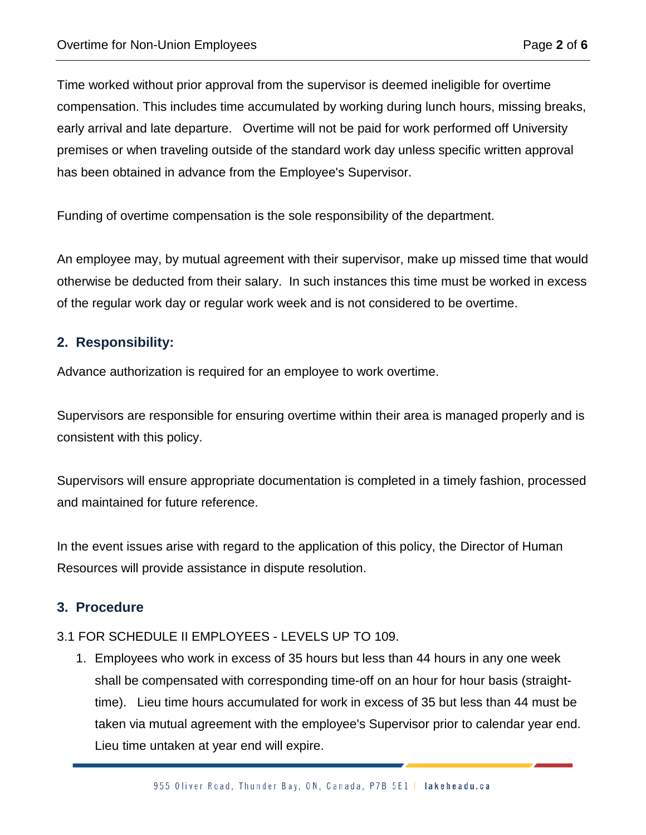Time worked without prior approval from the supervisor is deemed ineligible for overtime compensation. This includes time accumulated by working during lunch hours, missing breaks, early arrival and late departure. Overtime will not be paid for work performed off University premises or when traveling outside of the standard work day unless specific written approval has been obtained in advance from the Employee's Supervisor.

Funding of overtime compensation is the sole responsibility of the department.

An employee may, by mutual agreement with their supervisor, make up missed time that would otherwise be deducted from their salary. In such instances this time must be worked in excess of the regular work day or regular work week and is not considered to be overtime.

## **2. Responsibility:**

Advance authorization is required for an employee to work overtime.

Supervisors are responsible for ensuring overtime within their area is managed properly and is consistent with this policy.

Supervisors will ensure appropriate documentation is completed in a timely fashion, processed and maintained for future reference.

In the event issues arise with regard to the application of this policy, the Director of Human Resources will provide assistance in dispute resolution.

## **3. Procedure**

## 3.1 FOR SCHEDULE II EMPLOYEES - LEVELS UP TO 109.

1. Employees who work in excess of 35 hours but less than 44 hours in any one week shall be compensated with corresponding time-off on an hour for hour basis (straighttime). Lieu time hours accumulated for work in excess of 35 but less than 44 must be taken via mutual agreement with the employee's Supervisor prior to calendar year end. Lieu time untaken at year end will expire.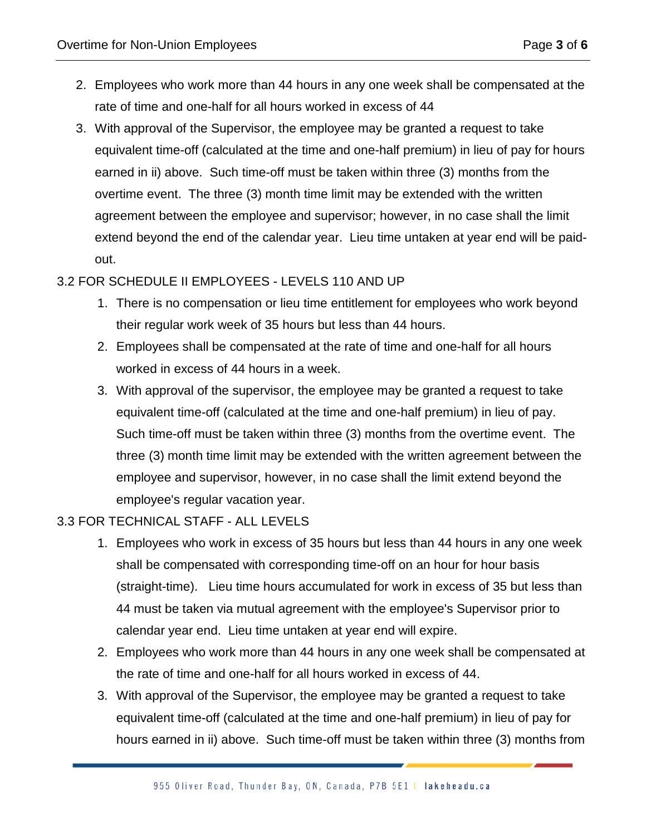- 2. Employees who work more than 44 hours in any one week shall be compensated at the rate of time and one-half for all hours worked in excess of 44
- 3. With approval of the Supervisor, the employee may be granted a request to take equivalent time-off (calculated at the time and one-half premium) in lieu of pay for hours earned in ii) above. Such time-off must be taken within three (3) months from the overtime event. The three (3) month time limit may be extended with the written agreement between the employee and supervisor; however, in no case shall the limit extend beyond the end of the calendar year. Lieu time untaken at year end will be paidout.

# 3.2 FOR SCHEDULE II EMPLOYEES - LEVELS 110 AND UP

- 1. There is no compensation or lieu time entitlement for employees who work beyond their regular work week of 35 hours but less than 44 hours.
- 2. Employees shall be compensated at the rate of time and one-half for all hours worked in excess of 44 hours in a week.
- 3. With approval of the supervisor, the employee may be granted a request to take equivalent time-off (calculated at the time and one-half premium) in lieu of pay. Such time-off must be taken within three (3) months from the overtime event. The three (3) month time limit may be extended with the written agreement between the employee and supervisor, however, in no case shall the limit extend beyond the employee's regular vacation year.

## 3.3 FOR TECHNICAL STAFF - ALL LEVELS

- 1. Employees who work in excess of 35 hours but less than 44 hours in any one week shall be compensated with corresponding time-off on an hour for hour basis (straight-time). Lieu time hours accumulated for work in excess of 35 but less than 44 must be taken via mutual agreement with the employee's Supervisor prior to calendar year end. Lieu time untaken at year end will expire.
- 2. Employees who work more than 44 hours in any one week shall be compensated at the rate of time and one-half for all hours worked in excess of 44.
- 3. With approval of the Supervisor, the employee may be granted a request to take equivalent time-off (calculated at the time and one-half premium) in lieu of pay for hours earned in ii) above. Such time-off must be taken within three (3) months from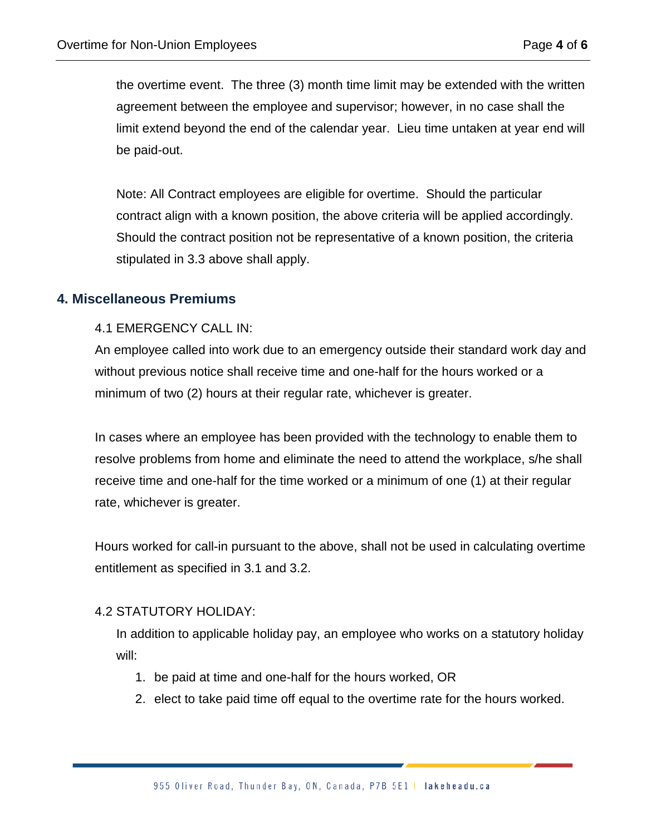the overtime event. The three (3) month time limit may be extended with the written agreement between the employee and supervisor; however, in no case shall the limit extend beyond the end of the calendar year. Lieu time untaken at year end will be paid-out.

Note: All Contract employees are eligible for overtime. Should the particular contract align with a known position, the above criteria will be applied accordingly. Should the contract position not be representative of a known position, the criteria stipulated in 3.3 above shall apply.

#### **4. Miscellaneous Premiums**

#### 4.1 EMERGENCY CALL IN:

An employee called into work due to an emergency outside their standard work day and without previous notice shall receive time and one-half for the hours worked or a minimum of two (2) hours at their regular rate, whichever is greater.

In cases where an employee has been provided with the technology to enable them to resolve problems from home and eliminate the need to attend the workplace, s/he shall receive time and one-half for the time worked or a minimum of one (1) at their regular rate, whichever is greater.

Hours worked for call-in pursuant to the above, shall not be used in calculating overtime entitlement as specified in 3.1 and 3.2.

#### 4.2 STATUTORY HOLIDAY:

In addition to applicable holiday pay, an employee who works on a statutory holiday will:

- 1. be paid at time and one-half for the hours worked, OR
- 2. elect to take paid time off equal to the overtime rate for the hours worked.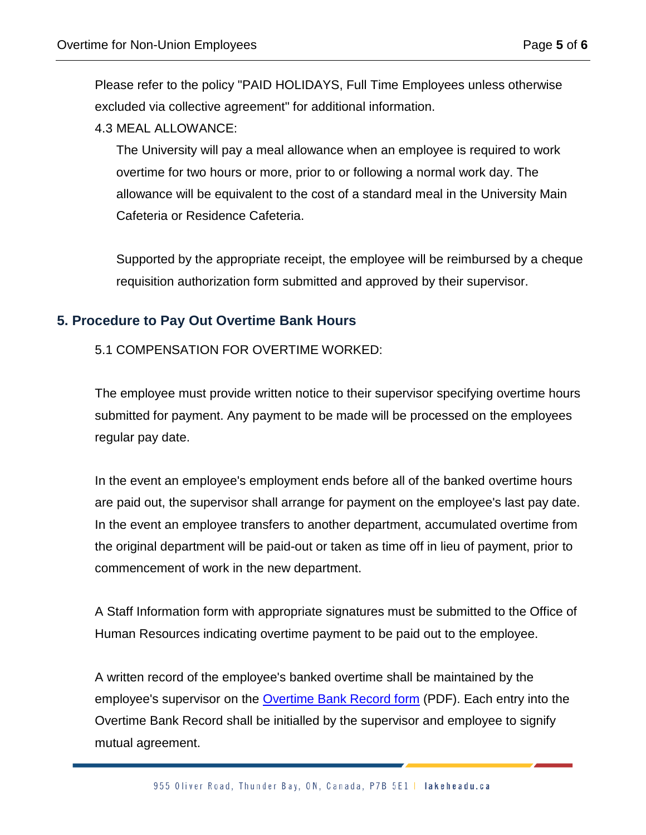Please refer to the policy "PAID HOLIDAYS, Full Time Employees unless otherwise excluded via collective agreement" for additional information.

#### 4.3 MEAL ALLOWANCE:

The University will pay a meal allowance when an employee is required to work overtime for two hours or more, prior to or following a normal work day. The allowance will be equivalent to the cost of a standard meal in the University Main Cafeteria or Residence Cafeteria.

Supported by the appropriate receipt, the employee will be reimbursed by a cheque requisition authorization form submitted and approved by their supervisor.

## **5. Procedure to Pay Out Overtime Bank Hours**

5.1 COMPENSATION FOR OVERTIME WORKED:

The employee must provide written notice to their supervisor specifying overtime hours submitted for payment. Any payment to be made will be processed on the employees regular pay date.

In the event an employee's employment ends before all of the banked overtime hours are paid out, the supervisor shall arrange for payment on the employee's last pay date. In the event an employee transfers to another department, accumulated overtime from the original department will be paid-out or taken as time off in lieu of payment, prior to commencement of work in the new department.

A Staff Information form with appropriate signatures must be submitted to the Office of Human Resources indicating overtime payment to be paid out to the employee.

A written record of the employee's banked overtime shall be maintained by the employee's supervisor on the [Overtime Bank Record form](https://www.lakeheadu.ca/faculty-and-staff/departments/services/hr) (PDF). Each entry into the Overtime Bank Record shall be initialled by the supervisor and employee to signify mutual agreement.